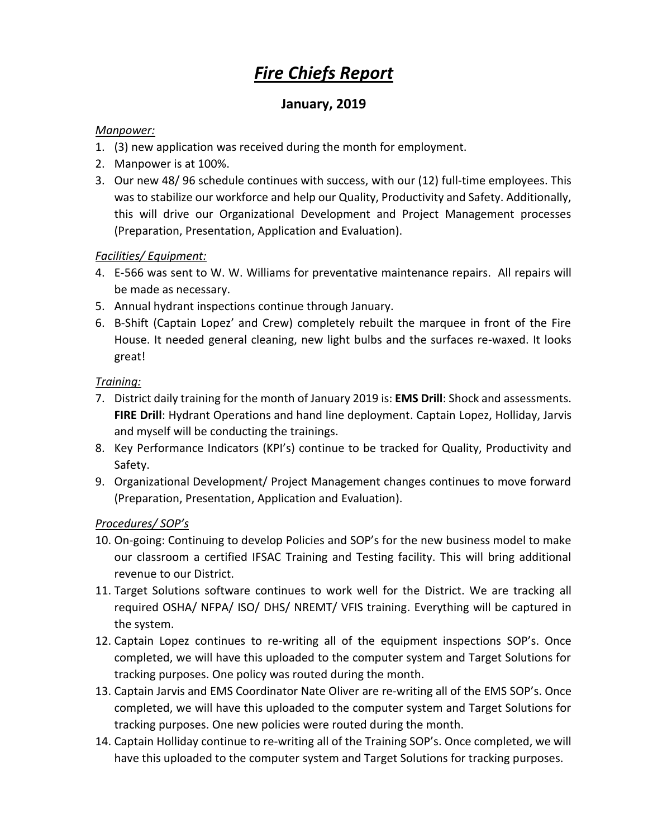# *Fire Chiefs Report*

## **January, 2019**

#### *Manpower:*

- 1. (3) new application was received during the month for employment.
- 2. Manpower is at 100%.
- 3. Our new 48/ 96 schedule continues with success, with our (12) full-time employees. This was to stabilize our workforce and help our Quality, Productivity and Safety. Additionally, this will drive our Organizational Development and Project Management processes (Preparation, Presentation, Application and Evaluation).

### *Facilities/ Equipment:*

- 4. E-566 was sent to W. W. Williams for preventative maintenance repairs. All repairs will be made as necessary.
- 5. Annual hydrant inspections continue through January.
- 6. B-Shift (Captain Lopez' and Crew) completely rebuilt the marquee in front of the Fire House. It needed general cleaning, new light bulbs and the surfaces re-waxed. It looks great!

#### *Training:*

- 7. District daily training for the month of January 2019 is: **EMS Drill**: Shock and assessments. **FIRE Drill**: Hydrant Operations and hand line deployment. Captain Lopez, Holliday, Jarvis and myself will be conducting the trainings.
- 8. Key Performance Indicators (KPI's) continue to be tracked for Quality, Productivity and Safety.
- 9. Organizational Development/ Project Management changes continues to move forward (Preparation, Presentation, Application and Evaluation).

#### *Procedures/ SOP's*

- 10. On-going: Continuing to develop Policies and SOP's for the new business model to make our classroom a certified IFSAC Training and Testing facility. This will bring additional revenue to our District.
- 11. Target Solutions software continues to work well for the District. We are tracking all required OSHA/ NFPA/ ISO/ DHS/ NREMT/ VFIS training. Everything will be captured in the system.
- 12. Captain Lopez continues to re-writing all of the equipment inspections SOP's. Once completed, we will have this uploaded to the computer system and Target Solutions for tracking purposes. One policy was routed during the month.
- 13. Captain Jarvis and EMS Coordinator Nate Oliver are re-writing all of the EMS SOP's. Once completed, we will have this uploaded to the computer system and Target Solutions for tracking purposes. One new policies were routed during the month.
- 14. Captain Holliday continue to re-writing all of the Training SOP's. Once completed, we will have this uploaded to the computer system and Target Solutions for tracking purposes.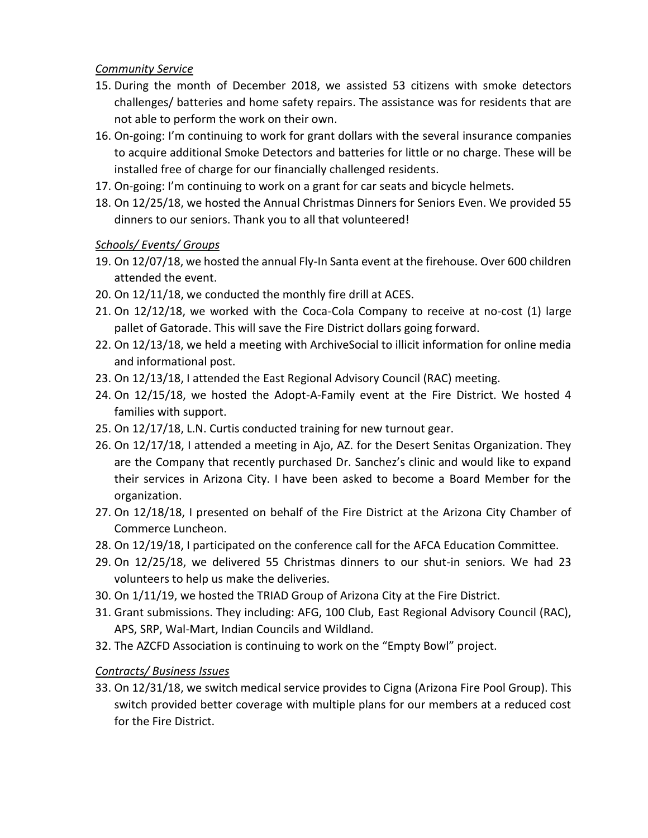#### *Community Service*

- 15. During the month of December 2018, we assisted 53 citizens with smoke detectors challenges/ batteries and home safety repairs. The assistance was for residents that are not able to perform the work on their own.
- 16. On-going: I'm continuing to work for grant dollars with the several insurance companies to acquire additional Smoke Detectors and batteries for little or no charge. These will be installed free of charge for our financially challenged residents.
- 17. On-going: I'm continuing to work on a grant for car seats and bicycle helmets.
- 18. On 12/25/18, we hosted the Annual Christmas Dinners for Seniors Even. We provided 55 dinners to our seniors. Thank you to all that volunteered!

#### *Schools/ Events/ Groups*

- 19. On 12/07/18, we hosted the annual Fly-In Santa event at the firehouse. Over 600 children attended the event.
- 20. On 12/11/18, we conducted the monthly fire drill at ACES.
- 21. On 12/12/18, we worked with the Coca-Cola Company to receive at no-cost (1) large pallet of Gatorade. This will save the Fire District dollars going forward.
- 22. On 12/13/18, we held a meeting with ArchiveSocial to illicit information for online media and informational post.
- 23. On 12/13/18, I attended the East Regional Advisory Council (RAC) meeting.
- 24. On 12/15/18, we hosted the Adopt-A-Family event at the Fire District. We hosted 4 families with support.
- 25. On 12/17/18, L.N. Curtis conducted training for new turnout gear.
- 26. On 12/17/18, I attended a meeting in Ajo, AZ. for the Desert Senitas Organization. They are the Company that recently purchased Dr. Sanchez's clinic and would like to expand their services in Arizona City. I have been asked to become a Board Member for the organization.
- 27. On 12/18/18, I presented on behalf of the Fire District at the Arizona City Chamber of Commerce Luncheon.
- 28. On 12/19/18, I participated on the conference call for the AFCA Education Committee.
- 29. On 12/25/18, we delivered 55 Christmas dinners to our shut-in seniors. We had 23 volunteers to help us make the deliveries.
- 30. On 1/11/19, we hosted the TRIAD Group of Arizona City at the Fire District.
- 31. Grant submissions. They including: AFG, 100 Club, East Regional Advisory Council (RAC), APS, SRP, Wal-Mart, Indian Councils and Wildland.
- 32. The AZCFD Association is continuing to work on the "Empty Bowl" project.

## *Contracts/ Business Issues*

33. On 12/31/18, we switch medical service provides to Cigna (Arizona Fire Pool Group). This switch provided better coverage with multiple plans for our members at a reduced cost for the Fire District.